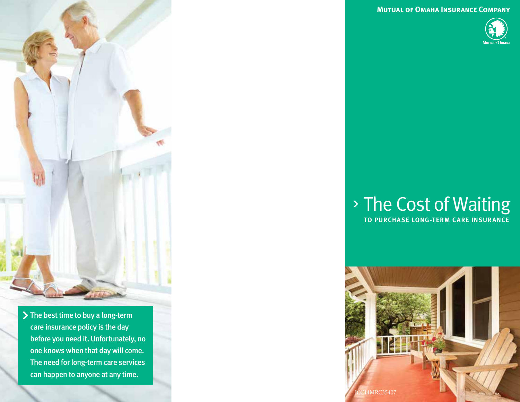**Mutual of Omaha Insurance Company**



#### The Cost of Waiting **TO PURCHASE LONG-TERM CARE INSURANCE**



- - > The best time to buy a long-term care insurance policy is the day before you need it. Unfortunately, no one knows when that day will come. The need for long-term care services can happen to anyone at any time.